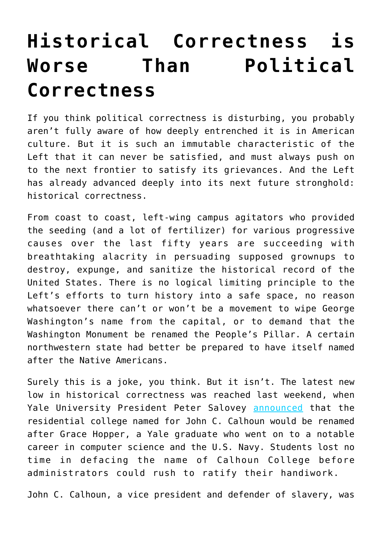## **[Historical Correctness is](https://intellectualtakeout.org/2017/02/historical-correctness-is-worse-than-political-correctness/) [Worse Than Political](https://intellectualtakeout.org/2017/02/historical-correctness-is-worse-than-political-correctness/) [Correctness](https://intellectualtakeout.org/2017/02/historical-correctness-is-worse-than-political-correctness/)**

If you think political correctness is disturbing, you probably aren't fully aware of how deeply entrenched it is in American culture. But it is such an immutable characteristic of the Left that it can never be satisfied, and must always push on to the next frontier to satisfy its grievances. And the Left has already advanced deeply into its next future stronghold: historical correctness.

From coast to coast, left-wing campus agitators who provided the seeding (and a lot of fertilizer) for various progressive causes over the last fifty years are succeeding with breathtaking alacrity in persuading supposed grownups to destroy, expunge, and sanitize the historical record of the United States. There is no logical limiting principle to the Left's efforts to turn history into a safe space, no reason whatsoever there can't or won't be a movement to wipe George Washington's name from the capital, or to demand that the Washington Monument be renamed the People's Pillar. A certain northwestern state had better be prepared to have itself named after the Native Americans.

Surely this is a joke, you think. But it isn't. The latest new low in historical correctness was reached last weekend, when Yale University President Peter Salovey [announced](http://fortune.com/2017/02/13/yale-university-to-rename-college-tied-to-white-supremacist-and-slavery-defender/) that the residential college named for John C. Calhoun would be renamed after Grace Hopper, a Yale graduate who went on to a notable career in computer science and the U.S. Navy. Students lost no time in defacing the name of Calhoun College before administrators could rush to ratify their handiwork.

John C. Calhoun, a vice president and defender of slavery, was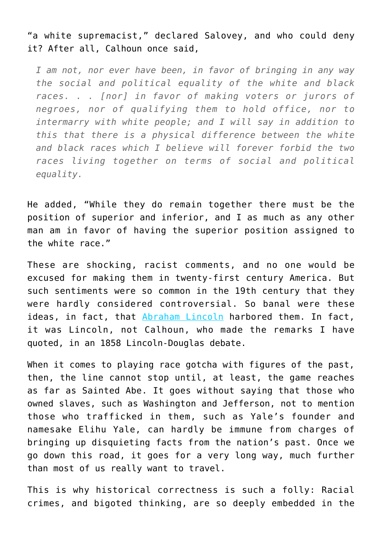"a white supremacist," declared Salovey, and who could deny it? After all, Calhoun once said,

*I am not, nor ever have been, in favor of bringing in any way the social and political equality of the white and black races. . . [nor] in favor of making voters or jurors of negroes, nor of qualifying them to hold office, nor to intermarry with white people; and I will say in addition to this that there is a physical difference between the white and black races which I believe will forever forbid the two races living together on terms of social and political equality.*

He added, "While they do remain together there must be the position of superior and inferior, and I as much as any other man am in favor of having the superior position assigned to the white race."

These are shocking, racist comments, and no one would be excused for making them in twenty-first century America. But such sentiments were so common in the 19th century that they were hardly considered controversial. So banal were these ideas, in fact, that [Abraham Lincoln](http://teachingamericanhistory.org/library/document/the-lincoln-douglas-debates-4th-debate-part-i/) harbored them. In fact, it was Lincoln, not Calhoun, who made the remarks I have quoted, in an 1858 Lincoln-Douglas debate.

When it comes to playing race gotcha with figures of the past, then, the line cannot stop until, at least, the game reaches as far as Sainted Abe. It goes without saying that those who owned slaves, such as Washington and Jefferson, not to mention those who trafficked in them, such as Yale's founder and namesake Elihu Yale, can hardly be immune from charges of bringing up disquieting facts from the nation's past. Once we go down this road, it goes for a very long way, much further than most of us really want to travel.

This is why historical correctness is such a folly: Racial crimes, and bigoted thinking, are so deeply embedded in the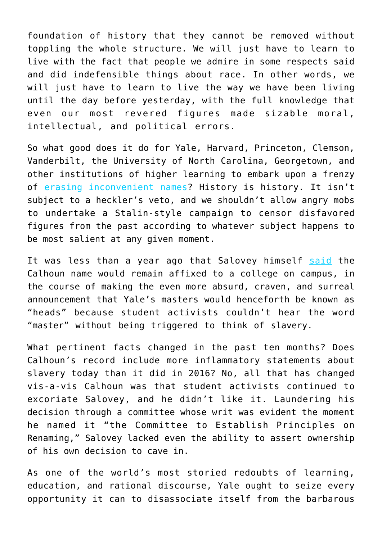foundation of history that they cannot be removed without toppling the whole structure. We will just have to learn to live with the fact that people we admire in some respects said and did indefensible things about race. In other words, we will just have to learn to live the way we have been living until the day before yesterday, with the full knowledge that even our most revered figures made sizable moral, intellectual, and political errors.

So what good does it do for Yale, Harvard, Princeton, Clemson, Vanderbilt, the University of North Carolina, Georgetown, and other institutions of higher learning to embark upon a frenzy of [erasing inconvenient names](http://yaledailynews.com/blog/2017/02/14/in-calhoun-decision-yale-is-not-alone/)? History is history. It isn't subject to a heckler's veto, and we shouldn't allow angry mobs to undertake a Stalin-style campaign to censor disfavored figures from the past according to whatever subject happens to be most salient at any given moment.

It was less than a year ago that Salovey himself [said](http://news.yale.edu/2016/04/27/yale-retains-calhoun-college-s-name-selects-names-two-new-residential-colleges-and-change) the Calhoun name would remain affixed to a college on campus, in the course of making the even more absurd, craven, and surreal announcement that Yale's masters would henceforth be known as "heads" because student activists couldn't hear the word "master" without being triggered to think of slavery.

What pertinent facts changed in the past ten months? Does Calhoun's record include more inflammatory statements about slavery today than it did in 2016? No, all that has changed vis-a-vis Calhoun was that student activists continued to excoriate Salovey, and he didn't like it. Laundering his decision through a committee whose writ was evident the moment he named it "the Committee to Establish Principles on Renaming," Salovey lacked even the ability to assert ownership of his own decision to cave in.

As one of the world's most storied redoubts of learning, education, and rational discourse, Yale ought to seize every opportunity it can to disassociate itself from the barbarous